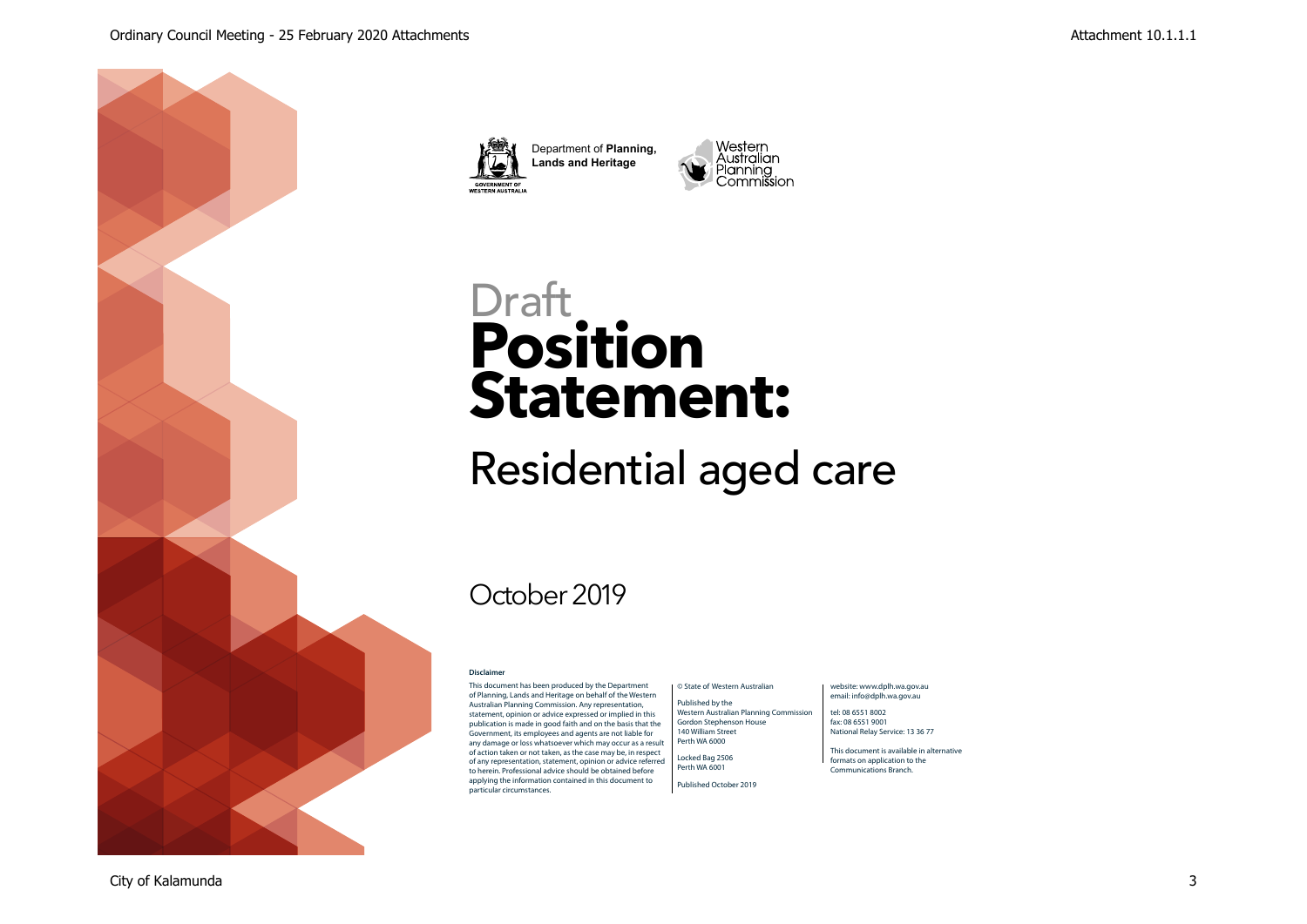







# **Position Statement: Draft**

Residential aged care

## October 2019

#### **Disclaimer**

This document has been produced by the Department of Planning, Lands and Heritage on behalf of the Western Australian Planning Commission. Any representation, statement, opinion or advice expressed or implied in this publication is made in good faith and on the basis that the Government, its employees and agents are not liable for any damage or loss whatsoever which may occur as a result of action taken or not taken, as the case may be, in respect of any representation, statement, opinion or advice referred to herein. Professional advice should be obtained before applying the information contained in this document to particular circumstances.

#### © State of Western Australian

Published by the Western Australian Planning Commission Gordon Stephenson House 140 William Street

Perth WA 6000 Locked Bag 2506 Perth WA 6001

Published October 2019

#### website: www.dplh.wa.gov.au email: info@dplh.wa.gov.au

tel: 08 6551 8002 fax: 08 6551 9001 National Relay Service: 13 36 77

This document is available in alternative formats on application to the Communications Branch.

#### City of Kalamunda 3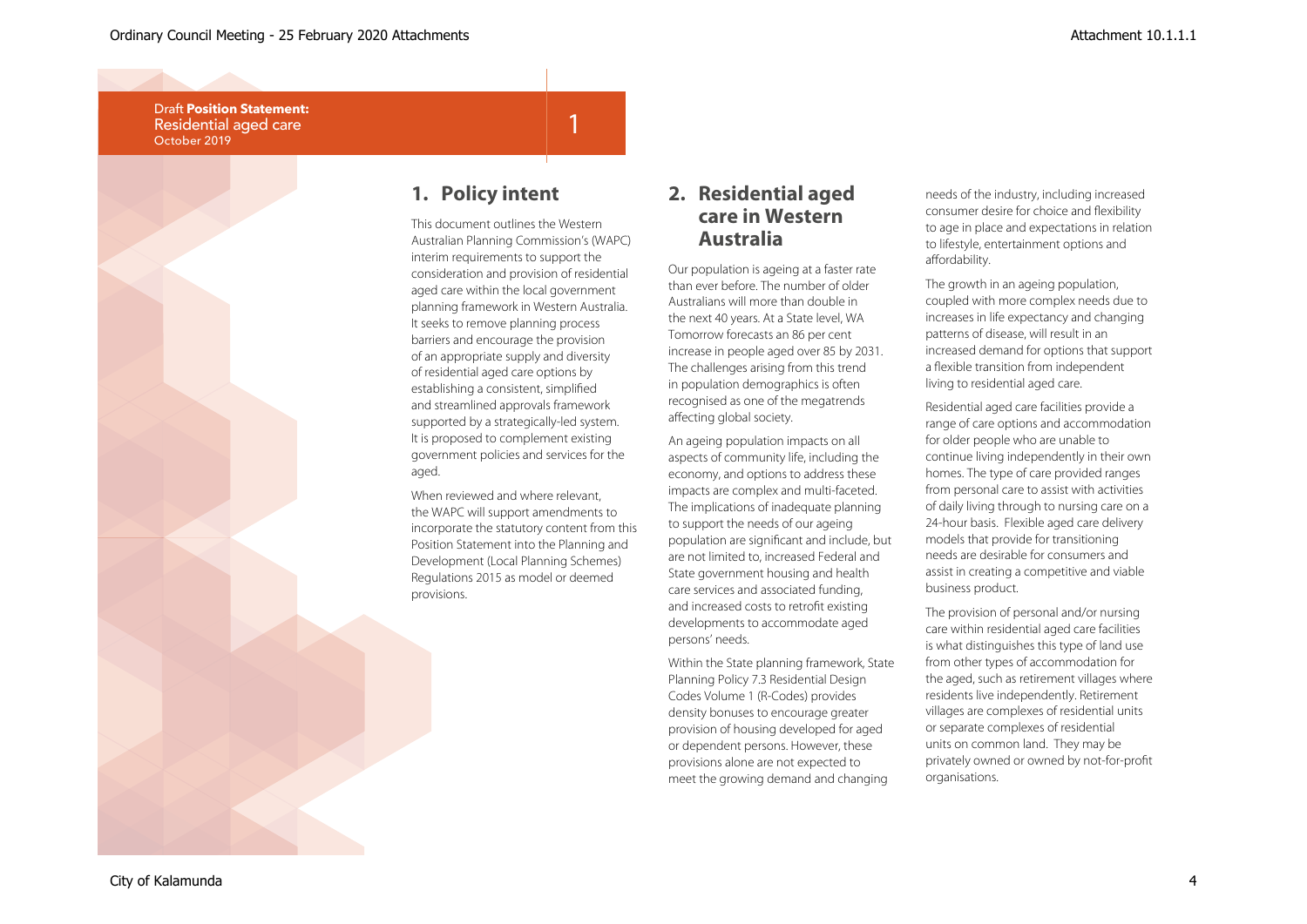

## **1. Policy intent**

This document outlines the Western Australian Planning Commission's (WAPC) interim requirements to support the consideration and provision of residential aged care within the local government planning framework in Western Australia. It seeks to remove planning process barriers and encourage the provision of an appropriate supply and diversity of residential aged care options by establishing a consistent, simplified and streamlined approvals framework supported by a strategically-led system. It is proposed to complement existing government policies and services for the

1

When reviewed and where relevant, the WAPC will support amendments to incorporate the statutory content from this Position Statement into the Planning and Development (Local Planning Schemes) Regulations 2015 as model or deemed

### **2. Residential aged care in Western Australia**

Our population is ageing at a faster rate than ever before. The number of older Australians will more than double in the next 40 years. At a State level, WA Tomorrow forecasts an 86 per cent increase in people aged over 85 by 2031. The challenges arising from this trend in population demographics is often recognised as one of the megatrends affecting global society.

An ageing population impacts on all aspects of community life, including the economy, and options to address these impacts are complex and multi-faceted. The implications of inadequate planning to support the needs of our ageing population are significant and include, but are not limited to, increased Federal and State government housing and health care services and associated funding, and increased costs to retrofit existing developments to accommodate aged persons' needs.

Within the State planning framework, State Planning Policy 7.3 Residential Design Codes Volume 1 (R-Codes) provides density bonuses to encourage greater provision of housing developed for aged or dependent persons. However, these provisions alone are not expected to meet the growing demand and changing

needs of the industry, including increased consumer desire for choice and flexibility to age in place and expectations in relation to lifestyle, entertainment options and affordability.

The growth in an ageing population, coupled with more complex needs due to increases in life expectancy and changing patterns of disease, will result in an increased demand for options that support a flexible transition from independent living to residential aged care.

Residential aged care facilities provide a range of care options and accommodation for older people who are unable to continue living independently in their own homes. The type of care provided ranges from personal care to assist with activities of daily living through to nursing care on a 24-hour basis. Flexible aged care delivery models that provide for transitioning needs are desirable for consumers and assist in creating a competitive and viable business product.

The provision of personal and/or nursing care within residential aged care facilities is what distinguishes this type of land use from other types of accommodation for the aged, such as retirement villages where residents live independently. Retirement villages are complexes of residential units or separate complexes of residential units on common land. They may be privately owned or owned by not-for-profit organisations.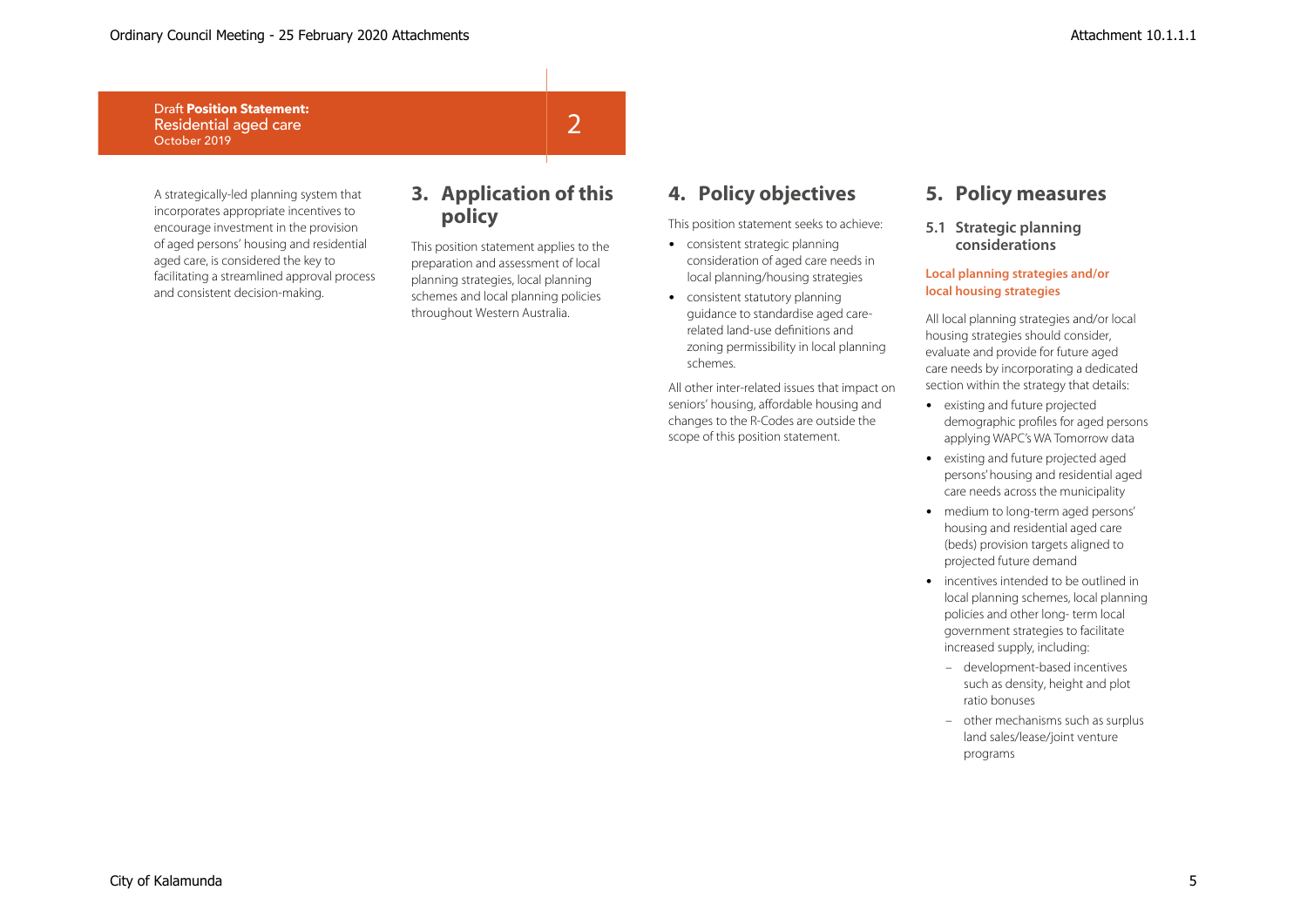A strategically-led planning system that incorporates appropriate incentives to encourage investment in the provision of aged persons' housing and residential aged care, is considered the key to facilitating a streamlined approval process and consistent decision-making.

## **3. Application of this policy**

2

This position statement applies to the preparation and assessment of local planning strategies, local planning schemes and local planning policies throughout Western Australia.

## **4. Policy objectives**

This position statement seeks to achieve:

- consistent strategic planning consideration of aged care needs in local planning/housing strategies
- consistent statutory planning guidance to standardise aged carerelated land-use definitions and zoning permissibility in local planning schemes.

All other inter-related issues that impact on seniors' housing, affordable housing and changes to the R-Codes are outside the scope of this position statement.

## **5. Policy measures**

**5.1 Strategic planning considerations**

#### **Local planning strategies and/or local housing strategies**

All local planning strategies and/or local housing strategies should consider, evaluate and provide for future aged care needs by incorporating a dedicated section within the strategy that details:

- existing and future projected demographic profiles for aged persons applying WAPC's WA Tomorrow data
- existing and future projected aged persons' housing and residential aged care needs across the municipality
- medium to long-term aged persons' housing and residential aged care (beds) provision targets aligned to projected future demand
- incentives intended to be outlined in local planning schemes, local planning policies and other long- term local government strategies to facilitate increased supply, including:
	- development-based incentives such as density, height and plot ratio bonuses
	- other mechanisms such as surplus land sales/lease/joint venture programs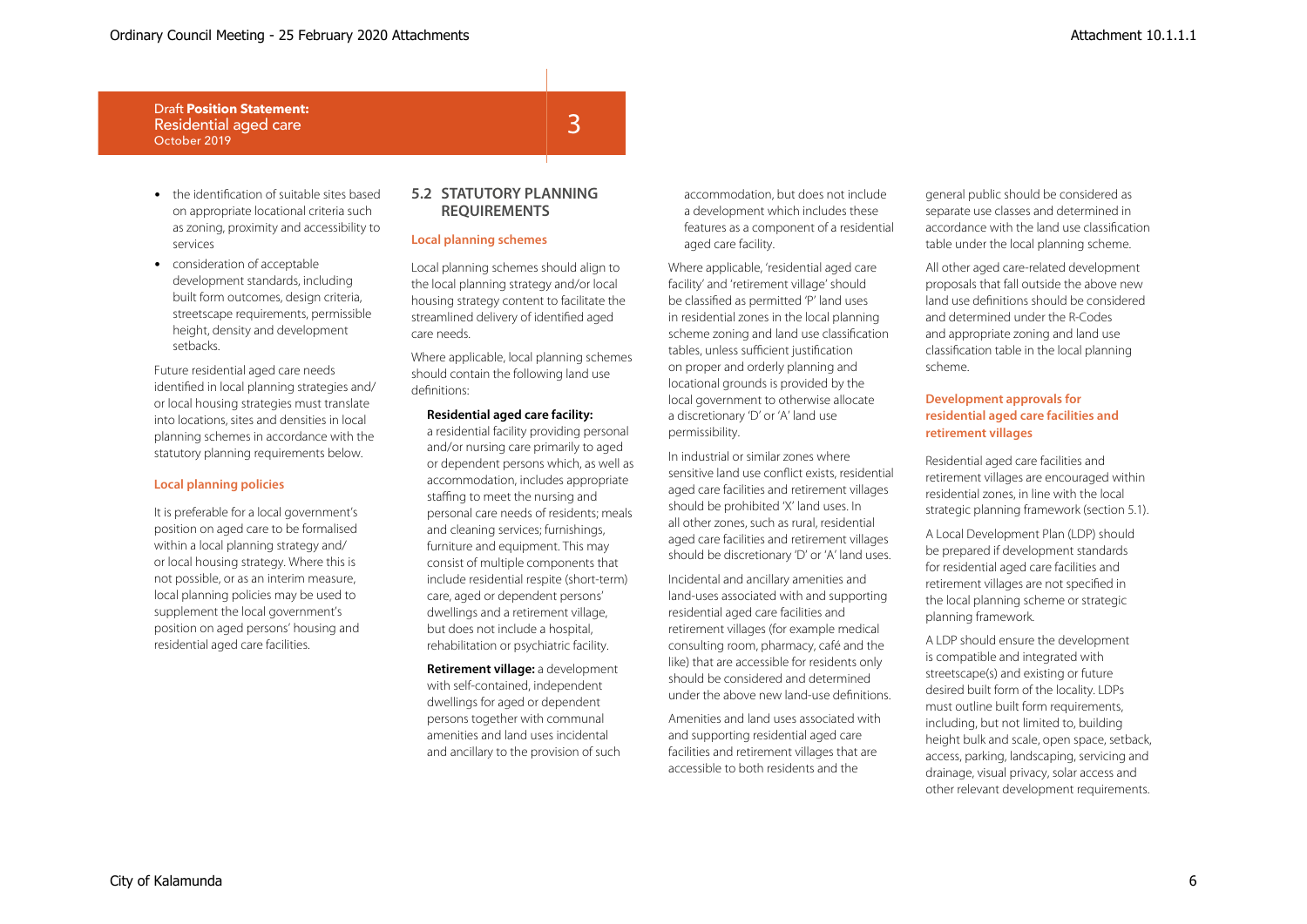- the identification of suitable sites based on appropriate locational criteria such as zoning, proximity and accessibility to services
- consideration of acceptable development standards, including built form outcomes, design criteria, streetscape requirements, permissible height, density and development setbacks.

Future residential aged care needs identified in local planning strategies and/ or local housing strategies must translate into locations, sites and densities in local planning schemes in accordance with the statutory planning requirements below.

#### **Local planning policies**

It is preferable for a local government's position on aged care to be formalised within a local planning strategy and/ or local housing strategy. Where this is not possible, or as an interim measure, local planning policies may be used to supplement the local government's position on aged persons' housing and residential aged care facilities.

#### **5.2 STATUTORY PLANNING REQUIREMENTS**

3

#### **Local planning schemes**

Local planning schemes should align to the local planning strategy and/or local housing strategy content to facilitate the streamlined delivery of identified aged care needs.

Where applicable, local planning schemes should contain the following land use definitions:

#### **Residential aged care facility:**

a residential facility providing personal and/or nursing care primarily to aged or dependent persons which, as well as accommodation, includes appropriate staffing to meet the nursing and personal care needs of residents; meals and cleaning services; furnishings, furniture and equipment. This may consist of multiple components that include residential respite (short-term) care, aged or dependent persons' dwellings and a retirement village, but does not include a hospital, rehabilitation or psychiatric facility.

**Retirement village:** a development with self-contained, independent dwellings for aged or dependent persons together with communal amenities and land uses incidental and ancillary to the provision of such accommodation, but does not include a development which includes these features as a component of a residential aged care facility.

Where applicable, 'residential aged care facility' and 'retirement village' should be classified as permitted 'P' land uses in residential zones in the local planning scheme zoning and land use classification tables, unless sufficient justification on proper and orderly planning and locational grounds is provided by the local government to otherwise allocate a discretionary 'D' or 'A' land use permissibility.

In industrial or similar zones where sensitive land use conflict exists, residential aged care facilities and retirement villages should be prohibited 'X' land uses. In all other zones, such as rural, residential aged care facilities and retirement villages should be discretionary 'D' or 'A' land uses.

Incidental and ancillary amenities and land-uses associated with and supporting residential aged care facilities and retirement villages (for example medical consulting room, pharmacy, café and the like) that are accessible for residents only should be considered and determined under the above new land-use definitions.

Amenities and land uses associated with and supporting residential aged care facilities and retirement villages that are accessible to both residents and the

general public should be considered as separate use classes and determined in accordance with the land use classification table under the local planning scheme.

All other aged care-related development proposals that fall outside the above new land use definitions should be considered and determined under the R-Codes and appropriate zoning and land use classification table in the local planning scheme.

#### **Development approvals for residential aged care facilities and retirement villages**

Residential aged care facilities and retirement villages are encouraged within residential zones, in line with the local strategic planning framework (section 5.1).

A Local Development Plan (LDP) should be prepared if development standards for residential aged care facilities and retirement villages are not specified in the local planning scheme or strategic planning framework.

A LDP should ensure the development is compatible and integrated with streetscape(s) and existing or future desired built form of the locality. LDPs must outline built form requirements, including, but not limited to, building height bulk and scale, open space, setback, access, parking, landscaping, servicing and drainage, visual privacy, solar access and other relevant development requirements.